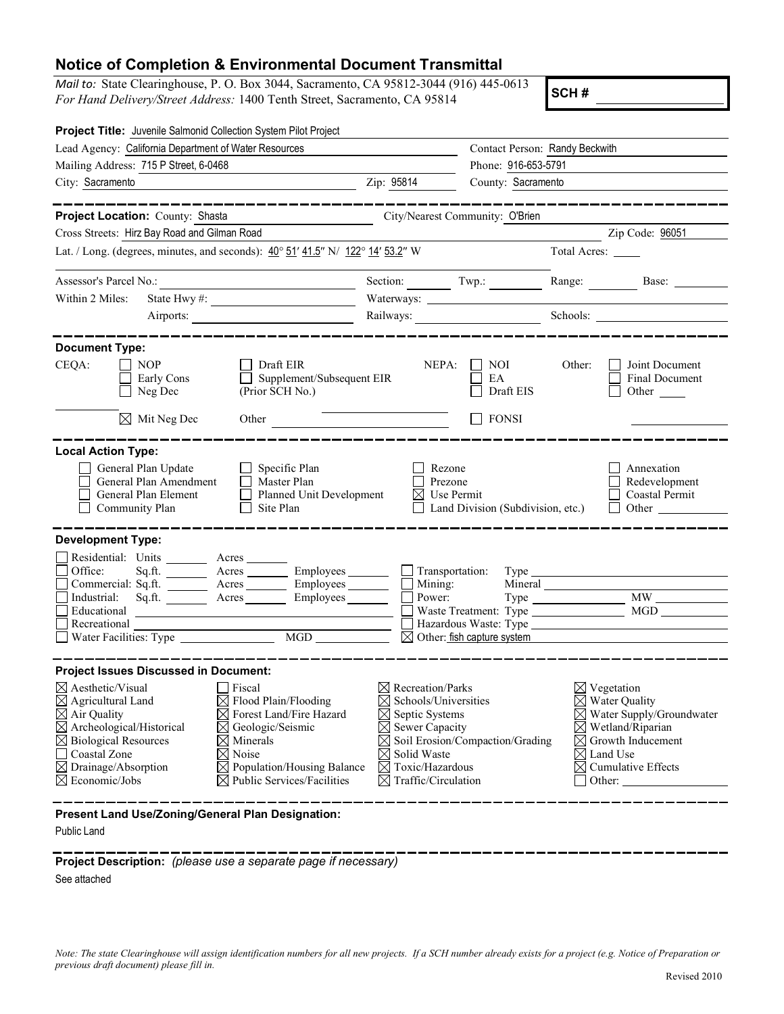## **Notice of Completion & Environmental Document Transmittal**

*Mail to:* State Clearinghouse, P. O. Box 3044, Sacramento, CA 95812-3044 (916) 445-0613 *For Hand Delivery/Street Address:* 1400 Tenth Street, Sacramento, CA 95814

**SCH #**

| Project Title: Juvenile Salmonid Collection System Pilot Project                                                                                                                                                                                                                                                                                          |                                                                                                                                                                                                                                                        |                                                                                                                                                                                                                          |                                                                                        |                     |                                                                                                                                                                                                          |  |
|-----------------------------------------------------------------------------------------------------------------------------------------------------------------------------------------------------------------------------------------------------------------------------------------------------------------------------------------------------------|--------------------------------------------------------------------------------------------------------------------------------------------------------------------------------------------------------------------------------------------------------|--------------------------------------------------------------------------------------------------------------------------------------------------------------------------------------------------------------------------|----------------------------------------------------------------------------------------|---------------------|----------------------------------------------------------------------------------------------------------------------------------------------------------------------------------------------------------|--|
| Lead Agency: California Department of Water Resources                                                                                                                                                                                                                                                                                                     | Contact Person: Randy Beckwith                                                                                                                                                                                                                         |                                                                                                                                                                                                                          |                                                                                        |                     |                                                                                                                                                                                                          |  |
| Mailing Address: 715 P Street, 6-0468                                                                                                                                                                                                                                                                                                                     |                                                                                                                                                                                                                                                        |                                                                                                                                                                                                                          |                                                                                        | Phone: 916-653-5791 |                                                                                                                                                                                                          |  |
| City: Sacramento<br><u> 1989 - Johann Stein, mars an t-Amerikaansk kommunist (</u>                                                                                                                                                                                                                                                                        | Zip: 95814                                                                                                                                                                                                                                             | County: Sacramento                                                                                                                                                                                                       |                                                                                        |                     |                                                                                                                                                                                                          |  |
| Project Location: County: Shasta                                                                                                                                                                                                                                                                                                                          |                                                                                                                                                                                                                                                        |                                                                                                                                                                                                                          |                                                                                        |                     |                                                                                                                                                                                                          |  |
| Cross Streets: Hirz Bay Road and Gilman Road                                                                                                                                                                                                                                                                                                              |                                                                                                                                                                                                                                                        |                                                                                                                                                                                                                          | City/Nearest Community: O'Brien                                                        |                     | Zip Code: 96051                                                                                                                                                                                          |  |
|                                                                                                                                                                                                                                                                                                                                                           |                                                                                                                                                                                                                                                        |                                                                                                                                                                                                                          |                                                                                        |                     |                                                                                                                                                                                                          |  |
| Lat. / Long. (degrees, minutes, and seconds): $40^{\circ}$ 51' 41.5" N/ 122° 14' 53.2" W                                                                                                                                                                                                                                                                  |                                                                                                                                                                                                                                                        |                                                                                                                                                                                                                          |                                                                                        | Total Acres:        |                                                                                                                                                                                                          |  |
| Assessor's Parcel No.:                                                                                                                                                                                                                                                                                                                                    | <u> 1989 - Johann Barbara, martxa alemaniar a</u>                                                                                                                                                                                                      | Section: Twp.:                                                                                                                                                                                                           |                                                                                        |                     |                                                                                                                                                                                                          |  |
| Within 2 Miles:                                                                                                                                                                                                                                                                                                                                           |                                                                                                                                                                                                                                                        | Waterways:                                                                                                                                                                                                               |                                                                                        |                     |                                                                                                                                                                                                          |  |
|                                                                                                                                                                                                                                                                                                                                                           | Airports:                                                                                                                                                                                                                                              |                                                                                                                                                                                                                          |                                                                                        |                     | Schools:                                                                                                                                                                                                 |  |
| <b>Document Type:</b>                                                                                                                                                                                                                                                                                                                                     |                                                                                                                                                                                                                                                        |                                                                                                                                                                                                                          |                                                                                        |                     |                                                                                                                                                                                                          |  |
| CEQA:<br>NOP<br>Early Cons<br>Neg Dec                                                                                                                                                                                                                                                                                                                     | Draft EIR<br>Supplement/Subsequent EIR<br>(Prior SCH No.)                                                                                                                                                                                              | NEPA:                                                                                                                                                                                                                    | NOI.<br>EA<br>Draft EIS                                                                | Other:              | Joint Document<br>Final Document<br>Other $\qquad$                                                                                                                                                       |  |
| $\boxtimes$ Mit Neg Dec                                                                                                                                                                                                                                                                                                                                   | Other                                                                                                                                                                                                                                                  |                                                                                                                                                                                                                          | <b>FONSI</b>                                                                           |                     |                                                                                                                                                                                                          |  |
| <b>Local Action Type:</b><br>General Plan Update<br>General Plan Amendment<br>General Plan Element<br>Community Plan<br><b>Development Type:</b><br>Residential: Units ________ Acres _______<br>Office:<br>Sq.ft.<br>Industrial:<br>Educational<br>Recreational<br>$\Box$ Water Facilities: Type $\Box$                                                  | Specific Plan<br>Master Plan<br>Planned Unit Development<br>Site Plan<br>Commercial: Sq.ft. _________ Acres __________ Employees _______<br>MGD                                                                                                        | Rezone<br>Prezone<br>Use Permit<br>⊠<br>Transportation:<br>Mining:<br>Power:                                                                                                                                             | Land Division (Subdivision, etc.)<br>$\overline{\boxtimes}$ Other: fish capture system |                     | Annexation<br>Redevelopment<br>Coastal Permit<br>Other<br>MW                                                                                                                                             |  |
| <b>Project Issues Discussed in Document:</b><br>$\boxtimes$ Aesthetic/Visual<br>$\boxtimes$ Agricultural Land<br>$\boxtimes$ Air Quality<br>$\boxtimes$ Archeological/Historical<br>$\boxtimes$ Biological Resources<br>Coastal Zone<br>$\boxtimes$ Drainage/Absorption<br>$\boxtimes$ Economic/Jobs<br>Present Land Use/Zoning/General Plan Designation: | $ $ Fiscal<br>$\boxtimes$ Flood Plain/Flooding<br>$\boxtimes$ Forest Land/Fire Hazard<br>$\boxtimes$ Geologic/Seismic<br>$\boxtimes$ Minerals<br>$\boxtimes$ Noise<br>$\boxtimes$ Population/Housing Balance<br>$\boxtimes$ Public Services/Facilities | $\boxtimes$ Recreation/Parks<br>Schools/Universities<br>⊠<br>Septic Systems<br>$\boxtimes$ Sewer Capacity<br>$\boxtimes$<br>Solid Waste<br>$\boxtimes$<br>$\boxtimes$ Toxic/Hazardous<br>$\boxtimes$ Traffic/Circulation | Soil Erosion/Compaction/Grading                                                        | $\boxtimes$<br>⋈    | $\boxtimes$ Vegetation<br>$\boxtimes$ Water Quality<br>$\boxtimes$ Water Supply/Groundwater<br>$\boxtimes$ Wetland/Riparian<br>Growth Inducement<br>Land Use<br>$\boxtimes$ Cumulative Effects<br>Other: |  |
|                                                                                                                                                                                                                                                                                                                                                           |                                                                                                                                                                                                                                                        |                                                                                                                                                                                                                          |                                                                                        |                     |                                                                                                                                                                                                          |  |

Public Land

**Project Description:** *(please use a separate page if necessary)*

See attached